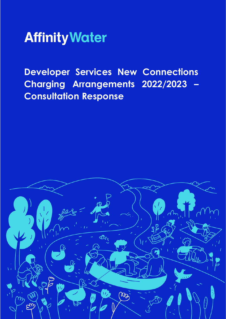

**Developer Services New Connections Charging Arrangements 2022/2023 – Consultation Response**

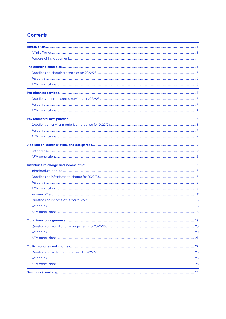#### **Contents**

| AFW conclusions | . 18 |
|-----------------|------|
|                 |      |
|                 |      |
|                 |      |
|                 |      |
|                 |      |
|                 |      |
|                 |      |
|                 |      |
|                 |      |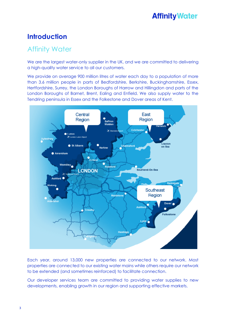### **Introduction**

### Affinity Water

We are the largest water-only supplier in the UK, and we are committed to delivering a high-quality water service to all our customers.

We provide on average 900 million litres of water each day to a population of more than 3.6 million people in parts of Bedfordshire, Berkshire, Buckinghamshire, Essex, Hertfordshire, Surrey, the London Boroughs of Harrow and Hillingdon and parts of the London Boroughs of Barnet, Brent, Ealing and Enfield. We also supply water to the Tendring peninsula in Essex and the Folkestone and Dover areas of Kent.

![](_page_2_Figure_5.jpeg)

Each year, around 13,000 new properties are connected to our network. Most properties are connected to our existing water mains while others require our network to be extended (and sometimes reinforced) to facilitate connection.

Our developer services team are committed to providing water supplies to new developments, enabling growth in our region and supporting effective markets.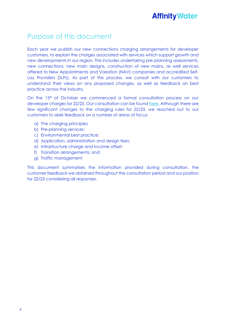### Purpose of this document

Each year we publish our new connections charging arrangements for developer customers, to explain the charges associated with services which support growth and new developments in our region. This includes undertaking pre-planning assessments, new connections, new main designs, construction of new mains, as well services offered to New Appointments and Variation (NAV) companies and accredited Self-Lay Providers (SLPs). As part of this process, we consult with our customers to understand their views on any proposed changes, as well as feedback on best practice across the industry.

On the 13th of October we commenced a formal consultation process on our developer charges for 22/23. Our consultation can be found [here.](https://www.affinitywater.co.uk/docs/developer/2021/Developer-Services-New-Connections-Consultation-October-21.pdf) Although there are few significant changes to the charging rules for 22/23, we reached out to our customers to seek feedback on a number of areas of focus:

- a) The charging principles
- b) Pre-planning services;
- c) Environmental best practice;
- d) Application, administration and design fees;
- e) Infrastructure charge and income offset;
- f) Transition arrangements; and
- g) Traffic management

This document summarises the information provided during consultation, the customer feedback we obtained throughout the consultation period and our position for 22/23 considering all responses.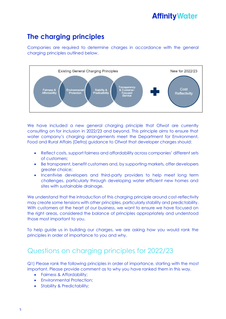### **The charging principles**

Companies are required to determine charges in accordance with the general charging principles outlined below.

![](_page_4_Figure_3.jpeg)

We have included a new general charging principle that Ofwat are currently consulting on for inclusion in 2022/23 and beyond. This principle aims to ensure that water company's charging arrangements meet the Department for Environment, Food and Rural Affairs (Defra) guidance to Ofwat that developer charges should:

- Reflect costs, support fairness and affordability across companies' different sets of customers;
- Be transparent, benefit customers and, by supporting markets, offer developers greater choice;
- Incentivise developers and third-party providers to help meet long term challenges, particularly through developing water efficient new homes and sites with sustainable drainage.

We understand that the introduction of this charging principle around cost-reflectivity may create some tensions with other principles, particularly stability and predictability. With customers at the heart of our business, we want to ensure we have focused on the right areas, considered the balance of principles appropriately and understood those most important to you.

To help guide us in building our charges, we are asking how you would rank the principles in order of importance to you and why.

### Questions on charging principles for 2022/23

Q1) Please rank the following principles in order of importance, starting with the most important. Please provide comment as to why you have ranked them in this way.

- Fairness & Affordability;
- Environmental Protection;
- Stability & Predictability;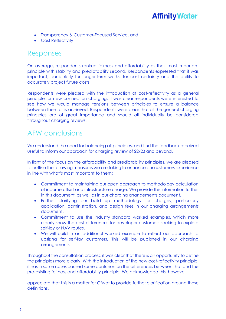- Transparency & Customer-Focused Service, and
- Cost Reflectivity

### Responses

On average, respondents ranked fairness and affordability as their most important principle with stability and predictability second. Respondents expressed that it was important, particularly for longer-term works, for cost certainty and the ability to accurately project future costs.

Respondents were pleased with the introduction of cost-reflectivity as a general principle for new connection charging. It was clear respondents were interested to see how we would manage tensions between principles to ensure a balance between them all is achieved. Respondents were clear that all the general charging principles are of great importance and should all individually be considered throughout charging reviews.

### AFW conclusions

We understand the need for balancing all principles, and find the feedback received useful to inform our approach for charging review of 22/23 and beyond.

In light of the focus on the affordability and predictability principles, we are pleased to outline the following measures we are taking to enhance our customers experience in line with what's most important to them:

- Commitment to maintaining our open approach to methodology calculation of income offset and infrastructure charge. We provide this information further in this document, as well as in our charging arrangements document.
- Further clarifying our build up methodology for charges, particularly application, administration, and design fees in our charging arrangements document.
- Commitment to use the industry standard worked examples, which more clearly show the cost differences for developer customers seeking to explore self-lay or NAV routes.
- We will build in an additional worked example to reflect our approach to upsizing for self-lay customers. This will be published in our charging arrangements.

Throughout the consultation process, it was clear that there is an opportunity to define the principles more clearly. With the introduction of the new cost-reflectivity principle, it has in some cases caused some confusion on the differences between that and the pre-existing fairness and affordability principle. We acknowledge this, however,

appreciate that this is a matter for Ofwat to provide further clarification around these definitions.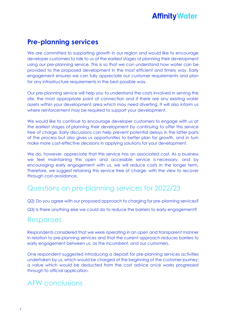### **Pre-planning services**

We are committed to supporting growth in our region and would like to encourage developer customers to talk to us at the earliest stages of planning their development using our pre-planning service. This is so that we can understand how water can be provided to the proposed development in the most efficient and timely way. Early engagement ensures we can fully appreciate our customer requirements and plan for any infrastructure requirements in the best possible way.

Our pre-planning service will help you to understand the costs involved in serving the site, the most appropriate point of connection and if there are any existing water assets within your development area which may need diverting. It will also inform us where reinforcement may be required to support your development.

We would like to continue to encourage developer customers to engage with us at the earliest stages of planning their development by continuing to offer this service free of charge. Early discussions can help prevent potential delays in the latter parts of the process but also gives us opportunities to better plan for growth, and in turn make more cost-effective decisions in applying solutions for your development.

We do, however, appreciate that this service has an associated cost. As a business we feel maintaining this open and accessible service is necessary, and by encouraging early engagement with us, we will reduce costs in the longer term. Therefore, we suggest retaining this service free of charge, with the view to recover through cost-avoidance.

### Questions on pre-planning services for 2022/23

Q2) Do you agree with our proposed approach to charging for pre-planning services?

Q3) Is there anything else we could do to reduce the barriers to early engagement?

### Responses

Respondents considered that we were operating in an open and transparent manner in relation to pre-planning services and that the current approach reduces barriers to early engagement between us, as the incumbent, and our customers.

One respondent suggested introducing a deposit for pre-planning services activities undertaken by us, which would be charged at the beginning of the customer journey; a value which would be deducted from the cost advice once works progressed through to official application.

### AFW conclusions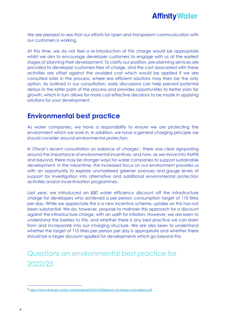![](_page_7_Picture_0.jpeg)

We are pleased to see that our efforts for open and transparent communication with our customers is working.

At this time, we do not feel a re-introduction of this charge would be appropriate whilst we aim to encourage developer customers to engage with us at the earliest stages of planning their development. To clarify our position, pre-planning services are provided to developer customers free of charge, and the cost associated with these activities are offset against the avoided cost which would be applied if we are consulted later in the process, where less efficient solutions may then be the only option. As outlined in our consultation, early discussions can help prevent potential delays in the latter parts of the process and provides opportunities to better plan for growth, which in turn allows for more cost-effective decisions to be made in applying solutions for your development.

### **Environmental best practice**

As water companies, we have a responsibility to ensure we are protecting the environment which we work in. In addition, we have a general charging principle we should consider around environmental protection.

In Ofwat's recent consultation on balance of charges<sup>1</sup>, there was clear signposting around the importance of environmental incentives, and how, as we move into AMP8 and beyond, there may be stronger ways for water companies to support sustainable development. In the meantime, the increased focus on our environment provides us with an opportunity to explore unchartered greener avenues and gauge levels of support for investigation into alternative and additional environmental protection activities and/or incentivisation programmes.

Last year, we introduced an £80 water efficiency discount off the infrastructure charge for developers who achieved a per person consumption target of 110 litres per day. While we appreciate this is a new incentive scheme, uptake on this has not been substantial. We do, however, propose to maintain this approach for a discount against the infrastructure charge, with an uplift for inflation. However, we are keen to understand the barriers to this, and whether there is any best practice we can learn from and incorporate into our charging structure. We are also keen to understand whether the target of 110 litres per person per day is appropriate and whether there should be a larger discount applied for developments which go beyond this.

## Questions on environmental best practice for 2022/23

<sup>1</sup> <https://www.ofwat.gov.uk/wp-content/uploads/2021/04/Balance-of-charges-consultation.pdf>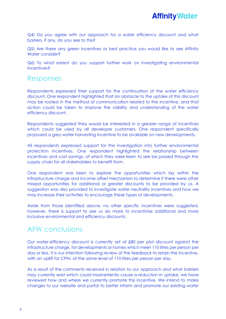![](_page_8_Picture_0.jpeg)

Q4) Do you agree with our approach for a water efficiency discount and what barriers, if any, do you see to this?

Q5) Are there any green incentives or best practice you would like to see Affinity Water consider?

Q6) To what extent do you support further work on investigating environmental incentives?

#### Responses

Respondents expressed their support for the continuation of the water efficiency discount. One respondent highlighted that an obstacle to the uptake of this discount may be rooted in the method of communication related to the incentive, and that action could be taken to improve the visibility and understanding of the water efficiency discount.

Respondents suggested they would be interested in a greater range of incentives which could be used by all developer customers. One respondent specifically proposed a grey water harvesting incentive to be available on new developments.

All respondents expressed support for the investigation into further environmental protection incentives. One respondent highlighted the relationship between incentives and cost savings, of which they were keen to see be passed through the supply chain for all stakeholders to benefit from.

One respondent was keen to explore the opportunities which lay within the infrastructure charge and income offset mechanism to determine if there were other missed opportunities for additional or greater discounts to be provided by us. A suggestion was also provided to investigate water neutrality incentives and how we may increase their activities to encourage these types of developments.

Aside from those identified above, no other specific incentives were suggested, however, there is support to see us do more to incentivise additional and more inclusive environmental and efficiency discounts.

### AFW conclusions

Our water-efficiency discount is currently set at £80 per plot discount against the infrastructure charge, for developments or homes which meet 110 litres per person per day or less. It is our intention following review of the feedback to retain the incentive, with an uplift for CPIH, at the same level of 110 litres per person per day.

As a result of the comments received in relation to our approach and what barriers may currently exist which could inadvertently cause a reduction in uptake, we have reviewed how and where we currently promote this incentive. We intend to make changes to our website and portal to better inform and promote our existing water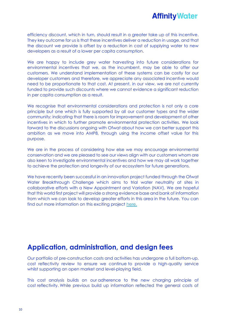![](_page_9_Picture_0.jpeg)

efficiency discount, which in turn, should result in a greater take up of this incentive. They key outcome for us is that these incentives deliver a reduction in usage, and that the discount we provide is offset by a reduction in cost of supplying water to new developers as a result of a lower per capita consumption.

We are happy to include grey water harvesting into future considerations for environmental incentives that we, as the incumbent, may be able to offer our customers. We understand implementation of these systems can be costly for our developer customers and therefore, we appreciate any associated incentive would need to be proportionate to that cost. At present, in our view, we are not currently funded to provide such discounts where we cannot evidence a significant reduction in per capita consumption as a result.

We recognise that environmental considerations and protection is not only a core principle but one which is fully supported by all our customer types and the wider community; indicating that there is room for improvement and development of other incentives in which to further promote environmental protection activities. We look forward to the discussions ongoing with Ofwat about how we can better support this ambition as we move into AMP8, through using the income offset value for this purpose.

We are in the process of considering how else we may encourage environmental conservation and we are pleased to see our views align with our customers whom are also keen to investigate environmental incentives and how we may all work together to achieve the protection and longevity of our ecosystem for future generations.

We have recently been successful in an innovation project funded through the Ofwat Water Breakthrough Challenge which aims to trial water neutrality at sites in collaborative efforts with a New Appointment and Variation (NAV). We are hopeful that this world first project will provide a strong evidence base and bank of information from which we can look to develop greater efforts in this area in the future. You can find out more information on this exciting project [here.](https://waterinnovation.challenges.org/breakthrough/winners/)

### **Application, administration, and design fees**

Our portfolio of pre-construction costs and activities has undergone a full bottom-up, cost reflectivity review to ensure we continue to provide a high-quality service whilst supporting an open market and level-playing field.

This cost analysis builds on our adherence to the new charging principle of cost reflectivity. While previous build up information reflected the general costs of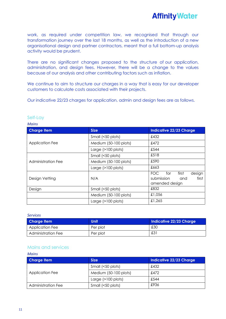work, as required under competition law, we recognised that through our transformation journey over the last 18 months, as well as the introduction of a new organisational design and partner contractors, meant that a full bottom-up analysis activity would be prudent.

There are no significant changes proposed to the structure of our application, administration, and design fees. However, there will be a change to the values because of our analysis and other contributing factors such as inflation.

We continue to aim to structure our charges in a way that is easy for our developer customers to calculate costs associated with their projects.

Our indicative 22/23 charges for application, admin and design fees are as follows.

| <b>Charge Item</b>     | <b>Size</b>           | <b>Indicative 22/23 Charge</b>                                             |
|------------------------|-----------------------|----------------------------------------------------------------------------|
|                        | Small (<50 plots)     | £432                                                                       |
| <b>Application Fee</b> | Medium (50-100 plots) | £472                                                                       |
|                        | Large $(>100$ plots)  | £544                                                                       |
|                        | Small (<50 plots)     | £518                                                                       |
| Administration Fee     | Medium (50-100 plots) | £590                                                                       |
|                        | Large $(>100$ plots)  | £663                                                                       |
| Design Vetting         | N/A                   | first<br>FOC<br>design<br>for<br>submission and<br>first<br>amended design |
| Design                 | Small (<50 plots)     | £832                                                                       |
|                        | Medium (50-100 plots) | £1,056                                                                     |
|                        | Large $(>100$ plots)  | £1,265                                                                     |

#### Self-Lay

#### *Mains*

#### *Services*

*Mains*

| <b>Charge Item</b>        | <b>Unit</b> | Indicative 22/23 Charge |
|---------------------------|-------------|-------------------------|
| Application Fee           | Per plot    | £30                     |
| <b>Administration Fee</b> | Per plot    | £3                      |

#### Mains and services

| Mains                     |                       |                         |
|---------------------------|-----------------------|-------------------------|
| <b>Charge Item</b>        | <b>Size</b>           | Indicative 22/23 Charge |
|                           | Small (<50 plots)     | £432                    |
| <b>Application Fee</b>    | Medium (50-100 plots) | £472                    |
|                           | Large $(>100$ plots)  | £544                    |
| <b>Administration Fee</b> | Small (<50 plots)     | £936                    |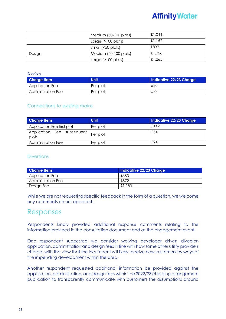|        | Medium (50-100 plots) | £1,044 |
|--------|-----------------------|--------|
|        | Large $(>100$ plots)  | £1,152 |
|        | Small (<50 plots)     | £832   |
| Design | Medium (50-100 plots) | £1,056 |
|        | Large $(>100$ plots)  | £1,265 |

#### *Services*

| Charge Item               | <b>Unit</b> | Indicative 22/23 Charge |
|---------------------------|-------------|-------------------------|
| Application Fee           | Per plot    | £30                     |
| <b>Administration Fee</b> | Per plot    | £79                     |

#### Connections to existing mains

| <b>Charge Item</b>                  | <b>Unit</b> | Indicative 22/23 Charge |
|-------------------------------------|-------------|-------------------------|
| Application Fee first plot          | Per plot    | £142                    |
| Application Fee subsequent<br>plots | Per plot    | £54                     |
| <b>Administration Fee</b>           | Per plot    | £94                     |

#### **Diversions**

| <b>Charge Item</b>        | <b>Indicative 22/23 Charge</b> |
|---------------------------|--------------------------------|
| <b>Application Fee</b>    | £383                           |
| <b>Administration Fee</b> | £872                           |
| Design Fee                | £1,183                         |

While we are not requesting specific feedback in the form of a question, we welcome any comments on our approach.

### Responses

Respondents kindly provided additional response comments relating to the information provided in the consultation document and at the engagement event.

One respondent suggested we consider waiving developer driven diversion application, administration and design fees in line with how some other utility providers charge, with the view that the incumbent will likely receive new customers by ways of the impending development within the area.

Another respondent requested additional information be provided against the application, administration, and design fees within the 2022/23 charging arrangement publication to transparently communicate with customers the assumptions around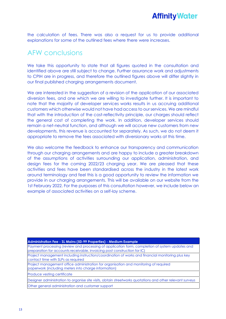![](_page_12_Picture_0.jpeg)

the calculation of fees. There was also a request for us to provide additional explanations for some of the outlined fees where there were increases.

### AFW conclusions

We take this opportunity to state that all figures guoted in the consultation and identified above are still subject to change. Further assurance work and adjustments to CPIH are in progress, and therefore the outlined figures above will differ slightly in our final published charging arrangements document.

We are interested in the suggestion of a revision of the application of our associated diversion fees, and one which we are willing to investigate further. It is important to note that the majority of developer services works results in us accruing additional customers which otherwise would not have had access to our services. We are mindful that with the introduction of the cost-reflectivity principle, our charges should reflect the general cost of completing the work. In addition, developer services should remain a net-neutral function, and although we will accrue new customers from new developments, this revenue is accounted for separately. As such, we do not deem it appropriate to remove the fees associated with diversionary works at this time.

We also welcome the feedback to enhance our transparency and communication through our charging arrangements and are happy to include a greater breakdown of the assumptions of activities surrounding our application, administration, and design fees for the coming 2022/23 charging year. We are pleased that these activities and fees have been standardised across the industry in the latest work around terminology and feel this is a good opportunity to review the information we provide in our charging arrangements. This will be available on our website from the 1st February 2022. For the purposes of this consultation however, we include below an example of associated activities on a self-lay scheme.

#### **Administration Fee - SL Mains (50-99 Properties) - Medium Example**

Payment processing (review and processing of application form, completion of system updates and preparation for accounts receivable, invoicing post construction for IC)

Project management including instruction/coordination of works and financial monitoring plus key contact time with SLPs as required

Project management office administration for organisation and monitoring of required paperwork (including meters into charge information)

Produce vesting certificate

Designer administration to organise site visits, obtain streetworks quotations and other relevant surveys Other general administration and customer support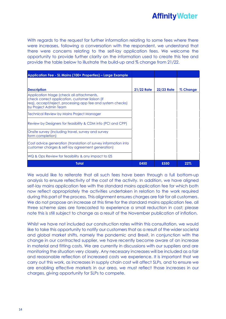![](_page_13_Picture_0.jpeg)

With regards to the request for further information relating to some fees where there were increases, following a conversation with the respondent, we understand that there were concerns relating to the self-lay application fees. We welcome the opportunity to provide further clarity on the information used to create this fee and provide the table below to illustrate the build-up and % change from 21/22.

| Application Fee - SL Mains (100+ Properties) – Large Example                                                                                                                         |                   |                   |          |
|--------------------------------------------------------------------------------------------------------------------------------------------------------------------------------------|-------------------|-------------------|----------|
|                                                                                                                                                                                      |                   |                   |          |
| <b>Description</b>                                                                                                                                                                   | <b>21/22 Rate</b> | <b>22/23 Rate</b> | % Change |
| Application triage (check all attachments,<br>check correct application, customer liaison (if<br>req), accept/reject, processing app fee and system checks)<br>by Project Admin Team |                   |                   |          |
| Technical Review by Mains Project Manager                                                                                                                                            |                   |                   |          |
| Review by Designers for feasibility & CDM info (PCI and CPP)                                                                                                                         |                   |                   |          |
| Onsite survey (including travel, survey and survey<br>form completion)                                                                                                               |                   |                   |          |
| Cost advice generation (translation of survey information into<br>customer charges & self-lay agreement generation)                                                                  |                   |                   |          |
| WQ & Ops Review for feasibility & any impact to I2S                                                                                                                                  |                   |                   |          |
| Total                                                                                                                                                                                | £450              | £550              | 22%      |

We would like to reiterate that all such fees have been through a full bottom-up analysis to ensure reflectivity of the cost of the activity. In addition, we have aligned self-lay mains application fee with the standard mains application fee for which both now reflect appropriately the activities undertaken in relation to the work required during this part of the process. This alignment ensures charges are fair for all customers. We do not propose an increase at this time for the standard mains application fee, all three scheme sizes are forecasted to experience a small reduction in cost; please note this is still subject to change as a result of the November publication of inflation.

Whilst we have not included our construction rates within this consultation, we would like to take this opportunity to notify our customers that as a result of the wider societal and global market shifts, namely the pandemic and Brexit, in conjunction with the change in our contracted supplier, we have recently become aware of an increase in material and fitting costs. We are currently in discussions with our suppliers and are monitoring the situation very closely. Any necessary increases will be included as a fair and reasonable reflection of increased costs we experience. It is important that we carry out this work, as increases in supply chain cost will affect SLPs, and to ensure we are enabling effective markets in our area, we must reflect those increases in our charges, giving opportunity for SLPs to compete.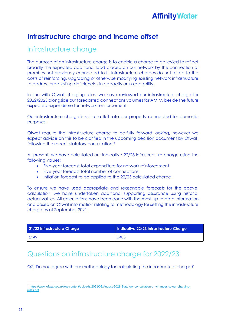### **Infrastructure charge and income offset**

### Infrastructure charge

The purpose of an infrastructure charge is to enable a charge to be levied to reflect broadly the expected additional load placed on our network by the connection of premises not previously connected to it. Infrastructure charges do not relate to the costs of reinforcing, upgrading or otherwise modifying existing network infrastructure to address pre-existing deficiencies in capacity or in capability.

In line with Ofwat charging rules, we have reviewed our infrastructure charge for 2022/2023 alongside our forecasted connections volumes for AMP7, beside the future expected expenditure for network reinforcement.

Our infrastructure charge is set at a flat rate per property connected for domestic purposes.

Ofwat require the infrastructure charge to be fully forward looking, however we expect advice on this to be clarified in the upcoming decision document by Ofwat, following the recent statutory consultation.<sup>2</sup>

At present, we have calculated our indicative 22/23 infrastructure charge using the following values:

- Five-year forecast total expenditure for network reinforcement
- Five-year forecast total number of connections
- Inflation forecast to be applied to the 22/23 calculated charge

To ensure we have used appropriate and reasonable forecasts for the above calculation, we have undertaken additional supporting assurance using historic actual values. All calculations have been done with the most up to date information and based on Ofwat information relating to methodology for setting the infrastructure charge as of September 2021.

| 21/22 Infrastructure Charge | Indicative 22/23 Infrastructure Charge |
|-----------------------------|----------------------------------------|
| £249                        | £403                                   |

### Questions on infrastructure charge for 2022/23

Q7) Do you agree with our methodology for calculating the infrastructure charge?

<sup>2</sup> [https://www.ofwat.gov.uk/wp-content/uploads/2021/08/August-2021-Statutory-consultation-on-changes-to-our-charging](https://www.ofwat.gov.uk/wp-content/uploads/2021/08/August-2021-Statutory-consultation-on-changes-to-our-charging-rules.pdf)[rules.pdf](https://www.ofwat.gov.uk/wp-content/uploads/2021/08/August-2021-Statutory-consultation-on-changes-to-our-charging-rules.pdf)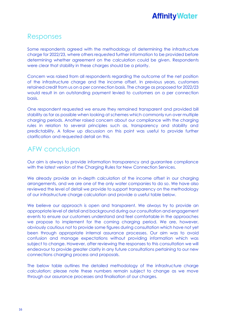### Responses

Some respondents agreed with the methodology of determining the infrastructure charge for 2022/23, where others requested further information to be provided before determining whether agreement on the calculation could be given. Respondents were clear that stability in these charges should be a priority.

Concern was raised from all respondents regarding the outcome of the net position of the infrastructure charge and the income offset. In previous years, customers retained credit from us on a per connection basis. The charge as proposed for 2022/23 would result in an outstanding payment levied to customers on a per connection basis.

One respondent requested we ensure they remained transparent and provided bill stability as far as possible when looking at schemes which commonly run over multiple charging periods. Another raised concern about our compliance with the charging rules in relation to several principles such as, transparency and stability and predictability. A follow up discussion on this point was useful to provide further clarification and requested detail on this.

### AFW conclusion

Our aim is always to provide information transparency and guarantee compliance with the latest version of the Charging Rules for New Connection Services.

We already provide an in-depth calculation of the income offset in our charging arrangements, and we are one of the only water companies to do so. We have also reviewed the level of detail we provide to support transparency on the methodology of our infrastructure charge calculation and provide a useful table below.

We believe our approach is open and transparent. We always try to provide an appropriate level of detail and background during our consultation and engagement events to ensure our customers understand and feel comfortable in the approaches we propose to implement for the coming charging period. We are, however, obviously cautious not to provide some figures during consultation which have not yet been through appropriate internal assurance processes. Our aim was to avoid confusion and manage expectations without providing information which was subject to change. However, after reviewing the responses to this consultation we will endeavour to provide greater clarity in any future consultations pertaining to our new connections charging process and proposals.

The below table outlines the detailed methodology of the infrastructure charge calculation; please note these numbers remain subject to change as we move through our assurance processes and finalisation of our charges.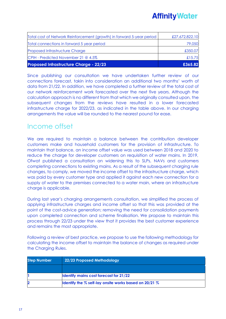| <b>Proposed Infrastructure Charge - 22/23</b>                         | £365.82        |
|-----------------------------------------------------------------------|----------------|
| CPIH - Predicted November 21 @ 4.5%                                   | £15.75         |
| <b>Proposed Infrastructure Charge</b>                                 | £350.07        |
| Total connections in forward 5 year period                            | 79,050         |
| Total cost of Network Reinforcement (growth) in forward 5-year period | £27,672,822.10 |

Since publishing our consultation we have undertaken further review of our connections forecast, takin into consideration an additional two months' worth of data from 21/22. In addition, we have completed a further review of the total cost of our network reinforcement work forecasted over the next five years. Although the calculation approach is no different from that which we originally consulted upon, the subsequent changes from the reviews have resulted in a lower forecasted infrastructure charge for 2022/23, as indicated in the table above. In our charging arrangements the value will be rounded to the nearest pound for ease.

### Income offset

We are required to maintain a balance between the contribution developer customers make and household customers for the provision of infrastructure. To maintain that balance, an income offset value was used between 2018 and 2020 to reduce the charge for developer customers on requisition of water mains. In 2019, Ofwat published a consultation on widening this to SLPs, NAVs and customers completing connections to existing mains. As a result of the subsequent charging rule changes, to comply, we moved the income offset to the infrastructure charge, which was paid by every customer type and applied it against each new connection for a supply of water to the premises connected to a water main, where an infrastructure charge is applicable.

During last year's charging arrangements consultation, we simplified the process of applying infrastructure charges and income offset so that this was provided at the point of the cost-advice generation; removing the need for consolidation payments upon completed connection and scheme finalisation. We propose to maintain this process through 22/23 under the view that it provides the best customer experience and remains the most appropriate.

Following a review of best practice, we propose to use the following methodology for calculating the income offset to maintain the balance of changes as required under the Charging Rules.

| <b>Step Number</b> | 22/23 Proposed Methodology                                   |
|--------------------|--------------------------------------------------------------|
|                    |                                                              |
|                    | Identify mains cost forecast for 21/22                       |
| 2                  | <b>Identify the % self-lay onsite works based on 20/21 %</b> |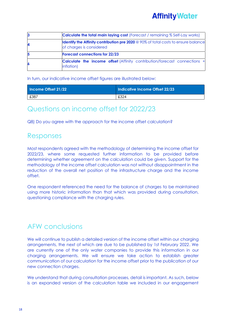![](_page_17_Picture_0.jpeg)

| З | <b>Calculate the total main laying cost</b> (Forecast / remaining % Self-Lay works)                                   |  |  |  |
|---|-----------------------------------------------------------------------------------------------------------------------|--|--|--|
| 4 | <b>Identify the Affinity contribution pre 2020</b> @ 90% of total costs to ensure balance<br>of charges is considered |  |  |  |
| 5 | <b>Forecast connections for 22/23</b>                                                                                 |  |  |  |
| 6 | <b>Calculate the income offset</b> (Affinity contribution/forecast connections +<br>inflation)                        |  |  |  |

In turn, our indicative income offset figures are illustrated below:

| Income Offset 21/22 | Indicative Income Offset 22/23 |
|---------------------|--------------------------------|
| £387                | £324                           |

### Questions on income offset for 2022/23

Q8) Do you agree with the approach for the income offset calculation?

### Responses

Most respondents agreed with the methodology of determining the income offset for 2022/23, where some requested further information to be provided before determining whether agreement on the calculation could be given. Support for the methodology of the income offset calculation was not without disappointment in the reduction of the overall net position of the infrastructure charge and the income offset.

One respondent referenced the need for the balance of charges to be maintained using more historic information than that which was provided during consultation, questioning compliance with the charging rules.

### AFW conclusions

We will continue to publish a detailed version of the income offset within our charging arrangements, the next of which are due to be published by 1st February 2022. We are currently one of the only water companies to provide this information in our charging arrangements. We will ensure we take action to establish greater communication of our calculation for the income offset prior to the publication of our new connection charges.

We understand that during consultation processes, detail is important. As such, below is an expanded version of the calculation table we included in our engagement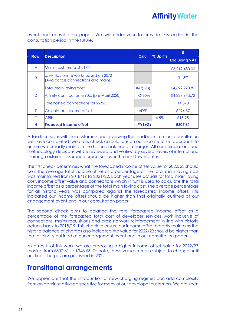event and consultation paper. We will endeavour to provide this earlier in the consultation period in the future.

| <b>Row</b> | <b>Description</b>                                                           | <b>Calc</b>    | % Uplifts |                      |
|------------|------------------------------------------------------------------------------|----------------|-----------|----------------------|
|            |                                                                              |                |           | <b>Excluding VAT</b> |
| A          | Mains cost forecast 21/22                                                    |                |           | £3,219,480.00        |
| B          | % self-lay onsite works based on 20/21<br>(Avg across connections and mains) |                |           | 31.5%                |
| C          | <b>Total main laying cost</b>                                                | $=A/(1-B)$     |           | £4,699,970.80        |
| D          | Affinity contribution @90% (pre-April 2020)                                  | $=C*90%$       |           | £4,229,973.72        |
| Е          | Forecasted connections for 22/23                                             |                |           | 14,370               |
| F          | Calculated income offset                                                     | $=$ D/E        |           | £294.37              |
| G          | <b>CPIH</b>                                                                  |                | 4.5%      | £13.25               |
| н          | <b>Proposed income offset</b>                                                | $=$ $F^*(1+G)$ |           | £307.61              |

After discussions with our customers and reviewing the feedback from our consultation we have completed two cross-check calculations on our income offset approach to ensure we broadly maintain the historic balance of charges. All our calculations and methodology decisions will be reviewed and verified by several layers of internal and thorough external assurance processes over the next few months.

The first check determines what the forecasted income offset value for 2022/23 should be if the average total income offset as a percentage of the total main laying cost was maintained from 2018/19 to 2021/22. Each year uses actuals for total main laying cost, income offset value and connections which in turn is used to calculate the total income offset as a percentage of the total main laying cost. The average percentage for all historic years was compared against the forecasted income offset. This indicated our income offset should be higher than that originally outlined at our engagement event and in our consultation paper.

The second check aims to balance the total forecasted income offset as a percentage of the forecasted total cost of developer services work inclusive of connections, mains requisitions and gross network reinforcement in line with historic actuals back to 2018/19. This check to ensure our income offset broadly maintains the historic balance of charges also indicated the value for 2022/23 should be higher than that originally outlined at our engagement event and in our consultation paper.

As a result of this work, we are proposing a higher income offset value for 2022/23 moving from £307.61 to £348.63. To note, these values remain subject to change until our final charges are published in 2022.

### **Transitional arrangements**

We appreciate that the introduction of new charging regimes can add complexity from an administrative perspective for many of our developer customers. We are keen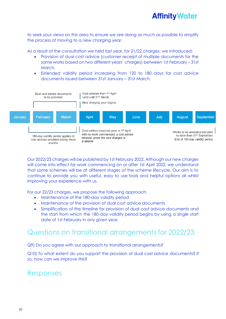to seek your views on this area to ensure we are doing as much as possible to simplify the process of moving to a new charging year.

As a result of the consultation we held last year, for 21/22 charges, we introduced:

- Provision of dual cost advice (customer receipt of multiple documents for the same works based on two different years' charges) between 1st February – 31st March.
- Extended validity period increasing from 120 to 180 days for cost advice documents issued between 31st January – 31st March.

![](_page_19_Figure_5.jpeg)

Our 2022/23 charges will be published by 1st February 2022. Although our new charges will come into effect for work commencing on or after 1st April 2022, we understand that some schemes will be at different stages of the scheme lifecycle. Our aim is to continue to provide you with useful, easy to use tools and helpful options all whilst improving your experience with us.

For our 22/23 charges, we propose the following approach:

- Maintenance of the 180-day validity period
- Maintenance of the provision of dual cost advice documents
- Simplification of the timeline for provision of dual cost advice documents and the start from which the 180-day validity period begins by using a single start date of 1st February in any given year.

### Questions on transitional arrangements for 2022/23

Q9) Do you agree with our approach to transitional arrangements?

Q10) To what extent do you support the provision of dual cost advice documents? If so, how can we improve this?

### Responses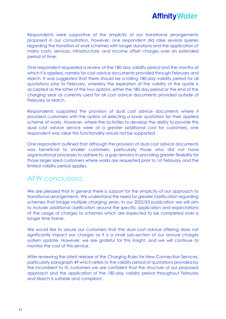![](_page_20_Picture_0.jpeg)

Respondents were supportive of the simplicity of our transitional arrangements proposed in our consultation, however, one respondent did raise several queries regarding the transition of work schemes with longer durations and the application of mains costs, services, infrastructure, and income offset charges over an extended period of time.

One respondent requested a review of the 180-day validity period and the months at which it is applied, namely for cost advice documents provided through February and March. It was suggested that there should be a rolling 180-day validity period for all quotations prior to February, whereby the expiration of the validity of the quote is accepted as the latter of the two options, either the 180-day period or the end of the charging year as currently used for all cost advice documents provided outside of February or March.

Respondents supported the provision of dual cost advice documents where it provided customers with the option of selecting a lower quotation for their applied scheme of works. However, where the activities to develop the ability to provide this dual cost advice service were at a greater additional cost for customers, one respondent was clear this functionality would not be supported.

One respondent outlined that although the provision of dual cost advice documents was beneficial to smaller customers, particularly those who did not have organisational processes to adhere to, a gap remains in providing greater flexibility for those larger sized customers where works are requested prior to 1st February and the limited validity period applies.

### AFW conclusions

We are pleased that in general there is support for the simplicity of our approach to transitional arrangements. We understand the need for greater clarification regarding schemes that bridge multiple charging years. In our 2022/23 publication we will aim to include additional clarification around the specific application and expectations of the usage of charges to schemes which are expected to be completed over a longer time frame.

We would like to assure our customers that the dual cost advice offering does not significantly impact our charges as it is a small sub-section of our annual charges system update. However, we are grateful for this insight, and we will continue to monitor the cost of this service.

After reviewing the latest release of the Charging Rules for New Connection Services, particularly paragraph 49 which refers to the validity period of quotations provided by the incumbent to its customers we are confident that the structure of our proposed approach and the application of the 180-day validity period throughout February and March is suitable and compliant.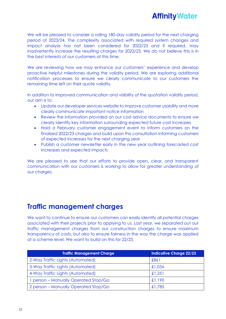We will be pleased to consider a rolling 180-day validity period for the next charging period of 2023/24. The complexity associated with required system changes and impact analysis has not been considered for 2022/23 and if required, may inadvertently increase the resulting charges for 2022/23. We do not believe this is in the best interests of our customers at this time.

We are reviewing how we may enhance our customers' experience and develop proactive helpful milestones during the validity period. We are exploring additional notification processes to ensure we clearly communicate to our customers the remaining time left on their quote validity.

In addition to improved communication and visibility of the quotation validity period, our aim is to:

- Update our developer services website to improve customer usability and more clearly communicate important notice information
- Review the information provided on our cost advice documents to ensure we clearly identify key information surrounding expected future cost increases
- Hold a February customer engagement event to inform customers on the finalised 2022/23 charges and build upon this consultation informing customers of expected increases for the next charging year
- Publish a customer newsletter early in the new year outlining forecasted cost increases and expected impacts

We are pleased to see that our efforts to provide open, clear, and transparent communication with our customers is working to allow for greater understanding of our charges.

### **Traffic management charges**

We want to continue to ensure our customers can easily identify all potential charges associated with their projects prior to applying to us. Last year, we separated out our traffic management charges from our construction charges to ensure maximum transparency of costs, but also to ensure fairness in the way the charge was applied at a scheme level. We want to build on this for 22/23.

| <b>Traffic Management Charge</b>     | Indicative Charge 22/23 |
|--------------------------------------|-------------------------|
| 2-Way Traffic Lights (Automated)     | £861                    |
| 3-Way Traffic Lights (Automated)     | £1,056                  |
| 4-Way Traffic Lights (Automated)     | £1,251                  |
| 1 person - Manually Operated Stop/Go | £1,190                  |
| 2 person – Manually Operated Stop/Go | £1,785                  |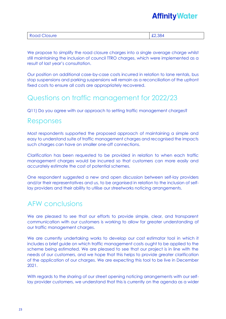| <b>Contract Contract Contract Contract Contract</b><br><b>Closure</b><br>. | 384 |
|----------------------------------------------------------------------------|-----|
|                                                                            |     |

We propose to simplify the road closure charges into a single average charge whilst still maintaining the inclusion of council TTRO charges, which were implemented as a result of last year's consultation.

Our position on additional case-by-case costs incurred in relation to lane rentals, bus stop suspensions and parking suspensions will remain as a reconciliation of the upfront fixed costs to ensure all costs are appropriately recovered.

### Questions on traffic management for 2022/23

Q11) Do you agree with our approach to setting traffic management charges?

### Responses

Most respondents supported the proposed approach of maintaining a simple and easy to understand suite of traffic management charges and recognised the impacts such charges can have on smaller one-off connections.

Clarification has been requested to be provided in relation to when each traffic management charges would be incurred so that customers can more easily and accurately estimate the cost of potential schemes.

One respondent suggested a new and open discussion between self-lay providers and/or their representatives and us, to be organised in relation to the inclusion of selflay providers and their ability to utilise our streetworks noticing arrangements.

### AFW conclusions

We are pleased to see that our efforts to provide simple, clear, and transparent communication with our customers is working to allow for greater understanding of our traffic management charges.

We are currently undertaking works to develop our cost estimator tool in which it includes a brief guide on which traffic management costs ought to be applied to the scheme being estimated. We are pleased to see that our project is in line with the needs of our customers, and we hope that this helps to provide greater clarification of the application of our charges. We are expecting this tool to be live in December 2021.

With regards to the sharing of our street opening noticing arrangements with our selflay provider customers, we understand that this is currently on the agenda as a wider